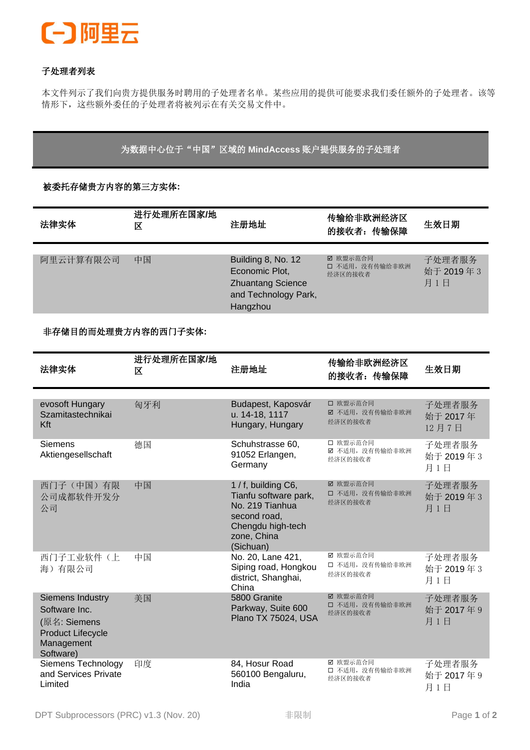

## 子处理者列表

本文件列示了我们向贵方提供服务时聘用的子处理者名单。某些应用的提供可能要求我们委任额外的子处理者。该等 情形下,这些额外委任的子处理者将被列示在有关交易文件中。

为数据中心位于"中国"区域的 **MindAccess** 账户提供服务的子处理者

被委托存储贵方内容的第三方实体**:**

| 法律实体      | 区  | 进行处理所在国家/地<br>注册地址                                                                                   | 传输给非欧洲经济区<br>的接收者: 传输保障                | 生效日期                       |
|-----------|----|------------------------------------------------------------------------------------------------------|----------------------------------------|----------------------------|
| 阿里云计算有限公司 | 中国 | Building 8, No. 12<br>Economic Plot,<br><b>Zhuantang Science</b><br>and Technology Park,<br>Hangzhou | ☑ 欧盟示范合同<br>口 不适用, 没有传输给非欧洲<br>经济区的接收者 | 子处理者服务<br>始于 2019年3<br>月1日 |

非存储目的而处理贵方内容的西门子实体**:**

| 法律实体                                                                                                            | 进行处理所在国家/地<br>区 | 注册地址                                                                                                                             | 传输给非欧洲经济区<br>的接收者: 传输保障                | 生效日期                        |
|-----------------------------------------------------------------------------------------------------------------|-----------------|----------------------------------------------------------------------------------------------------------------------------------|----------------------------------------|-----------------------------|
| evosoft Hungary<br>Szamitastechnikai<br>Kft                                                                     | 匈牙利             | Budapest, Kaposvár<br>u. 14-18, 1117<br>Hungary, Hungary                                                                         | □ 欧盟示范合同<br>☑ 不适用, 没有传输给非欧洲<br>经济区的接收者 | 子处理者服务<br>始于 2017年<br>12月7日 |
| Siemens<br>Aktiengesellschaft                                                                                   | 德国              | Schuhstrasse 60,<br>91052 Erlangen,<br>Germany                                                                                   | □ 欧盟示范合同<br>☑ 不适用, 没有传输给非欧洲<br>经济区的接收者 | 子处理者服务<br>始于 2019年3<br>月1日  |
| 西门子(中国)有限<br>公司成都软件开发分<br>公司                                                                                    | 中国              | 1 / f, building C6,<br>Tianfu software park,<br>No. 219 Tianhua<br>second road,<br>Chengdu high-tech<br>zone, China<br>(Sichuan) | ☑ 欧盟示范合同<br>口 不适用, 没有传输给非欧洲<br>经济区的接收者 | 子处理者服务<br>始于 2019年3<br>月1日  |
| 西门子工业软件(上<br>海)有限公司                                                                                             | 中国              | No. 20, Lane 421,<br>Siping road, Hongkou<br>district, Shanghai,<br>China                                                        | ☑ 欧盟示范合同<br>□ 不适用, 没有传输给非欧洲<br>经济区的接收者 | 子处理者服务<br>始于 2019年3<br>月1日  |
| <b>Siemens Industry</b><br>Software Inc.<br>(原名: Siemens<br><b>Product Lifecycle</b><br>Management<br>Software) | 美国              | 5800 Granite<br>Parkway, Suite 600<br>Plano TX 75024, USA                                                                        | ☑ 欧盟示范合同<br>口 不适用, 没有传输给非欧洲<br>经济区的接收者 | 子处理者服务<br>始于 2017年9<br>月1日  |
| Siemens Technology<br>and Services Private<br>Limited                                                           | 印度              | 84, Hosur Road<br>560100 Bengaluru,<br>India                                                                                     | ☑ 欧盟示范合同<br>□ 不适用, 没有传输给非欧洲<br>经济区的接收者 | 子处理者服务<br>始于 2017年9<br>月1日  |